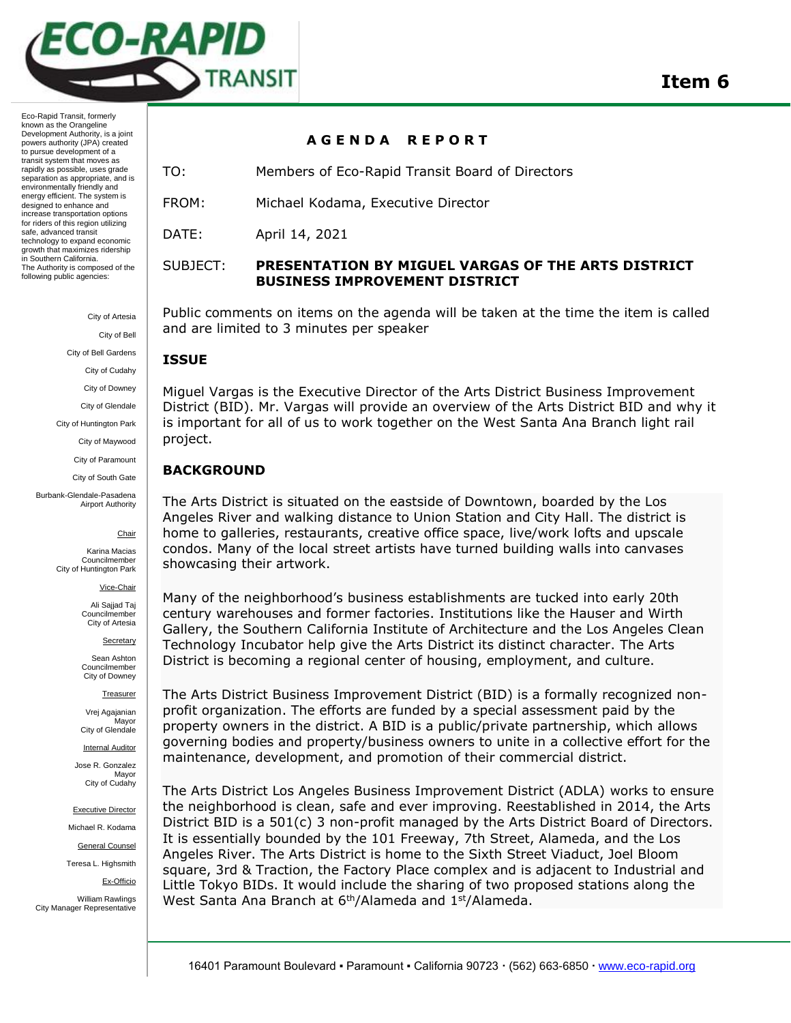

Eco-Rapid Transit, formerly known as the Orangeline Development Authority, is a joint powers authority (JPA) created to pursue development of a transit system that moves as rapidly as possible, uses grade separation as appropriate, and is environmentally friendly and energy efficient. The system is designed to enhance and increase transportation options for riders of this region utilizing safe, advanced transit technology to expand economic growth that maximizes ridership in Southern California. The Authority is composed of the following public agencies:

> City of Artesia City of Bell

City of Bell Gardens

City of Cudahy

City of Downey

City of Glendale

City of Huntington Park

City of Maywood

City of Paramount

City of South Gate

Burbank-Glendale-Pasadena Airport Authority

#### Chair

Karina Macias Councilmember City of Huntington Park

Vice-Chair

Ali Sajjad Taj Councilmember City of Artesia

**Secretary** 

Sean Ashton Councilmember City of Downey

Treasurer

Vrej Agajanian **Mavor** City of Glendale

Internal Auditor

Jose R. Gonzalez Mayor City of Cudahy

Executive Director

Michael R. Kodama General Counsel

Teresa L. Highsmith

Ex-Officio

William Rawlings City Manager Representative

### **A G E N D A R E P O R T**

TO: Members of Eco-Rapid Transit Board of Directors

FROM: Michael Kodama, Executive Director

DATE: April 14, 2021

## SUBJECT: **PRESENTATION BY MIGUEL VARGAS OF THE ARTS DISTRICT BUSINESS IMPROVEMENT DISTRICT**

Public comments on items on the agenda will be taken at the time the item is called and are limited to 3 minutes per speaker

## **ISSUE**

Miguel Vargas is the Executive Director of the Arts District Business Improvement District (BID). Mr. Vargas will provide an overview of the Arts District BID and why it is important for all of us to work together on the West Santa Ana Branch light rail project.

## **BACKGROUND**

The Arts District is situated on the eastside of Downtown, boarded by the Los Angeles River and walking distance to Union Station and City Hall. The district is home to galleries, restaurants, creative office space, live/work lofts and upscale condos. Many of the local street artists have turned building walls into canvases showcasing their artwork.

Many of the neighborhood's business establishments are tucked into early 20th century warehouses and former factories. Institutions like the Hauser and Wirth Gallery, the Southern California Institute of Architecture and the Los Angeles Clean Technology Incubator help give the Arts District its distinct character. The Arts District is becoming a regional center of housing, employment, and culture.

The Arts District Business Improvement District (BID) is a formally recognized nonprofit organization. The efforts are funded by a special assessment paid by the property owners in the district. A BID is a public/private partnership, which allows governing bodies and property/business owners to unite in a collective effort for the maintenance, development, and promotion of their commercial district.

The Arts District Los Angeles Business Improvement District (ADLA) works to ensure the neighborhood is clean, safe and ever improving. Reestablished in 2014, the Arts District BID is a 501(c) 3 non-profit managed by the Arts District Board of Directors. It is essentially bounded by the 101 Freeway, 7th Street, Alameda, and the Los Angeles River. The Arts District is home to the Sixth Street Viaduct, Joel Bloom square, 3rd & Traction, the Factory Place complex and is adjacent to Industrial and Little Tokyo BIDs. It would include the sharing of two proposed stations along the West Santa Ana Branch at 6<sup>th</sup>/Alameda and 1<sup>st</sup>/Alameda.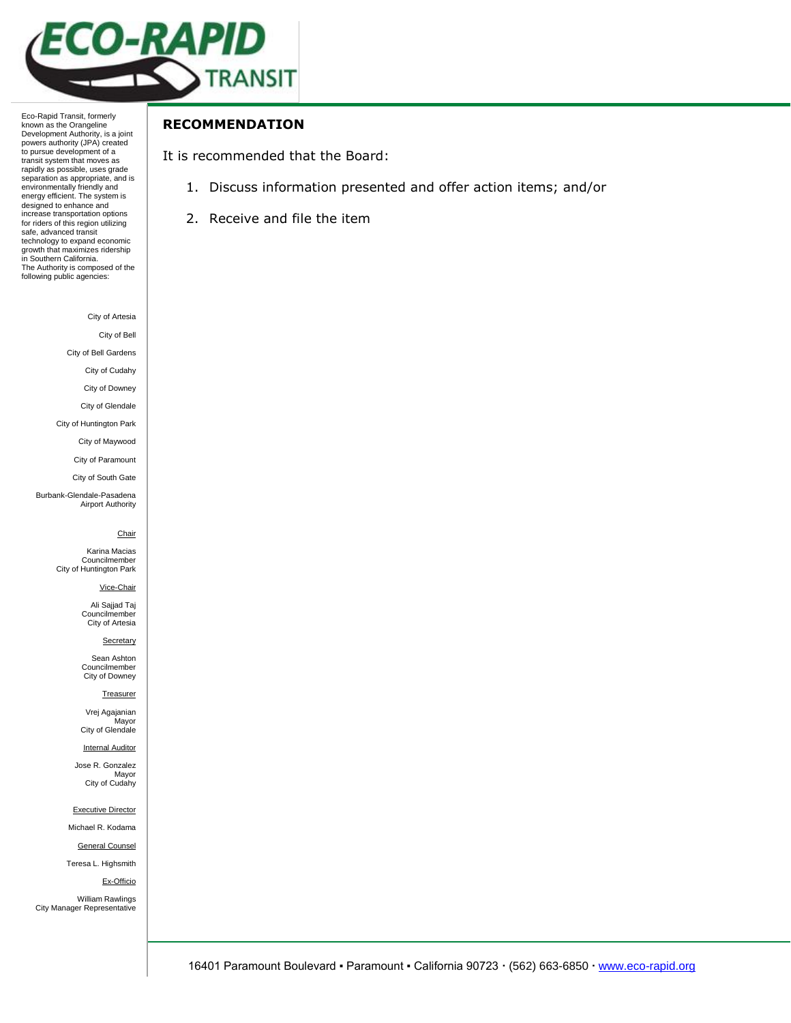

Eco-Rapid Transit, formerly known as the Orangeline Development Authority, is a joint powers authority (JPA) created to pursue development of a transit system that moves as rapidly as possible, uses grade separation as appropriate, and is environmentally friendly and energy efficient. The system is designed to enhance and increase transportation options for riders of this region utilizing safe, advanced transit technology to expand economic growth that maximizes ridership in Southern California. The Authority is composed of the following public agencies:

City of Artesia

City of Bell

City of Bell Gardens

City of Cudahy

City of Downey

City of Glendale

City of Huntington Park City of Maywood

City of Paramount

City of South Gate

Burbank-Glendale-Pasadena Airport Authority

#### Chair

Karina Macias Councilmember City of Huntington Park

Vice-Chair

Ali Sajjad Taj Councilmember City of Artesia

**Secretary** 

Sean Ashton Councilmember City of Downey

#### **Treasurer**

Vrej Agajanian Mayor City of Glendale

Internal Auditor

Jose R. Gonzalez Mayor City of Cudahy

Executive Director

Michael R. Kodama

General Counsel

Teresa L. Highsmith

Ex-Officio

William Rawlings City Manager Representative

# **RECOMMENDATION**

It is recommended that the Board:

- 1. Discuss information presented and offer action items; and/or
- 2. Receive and file the item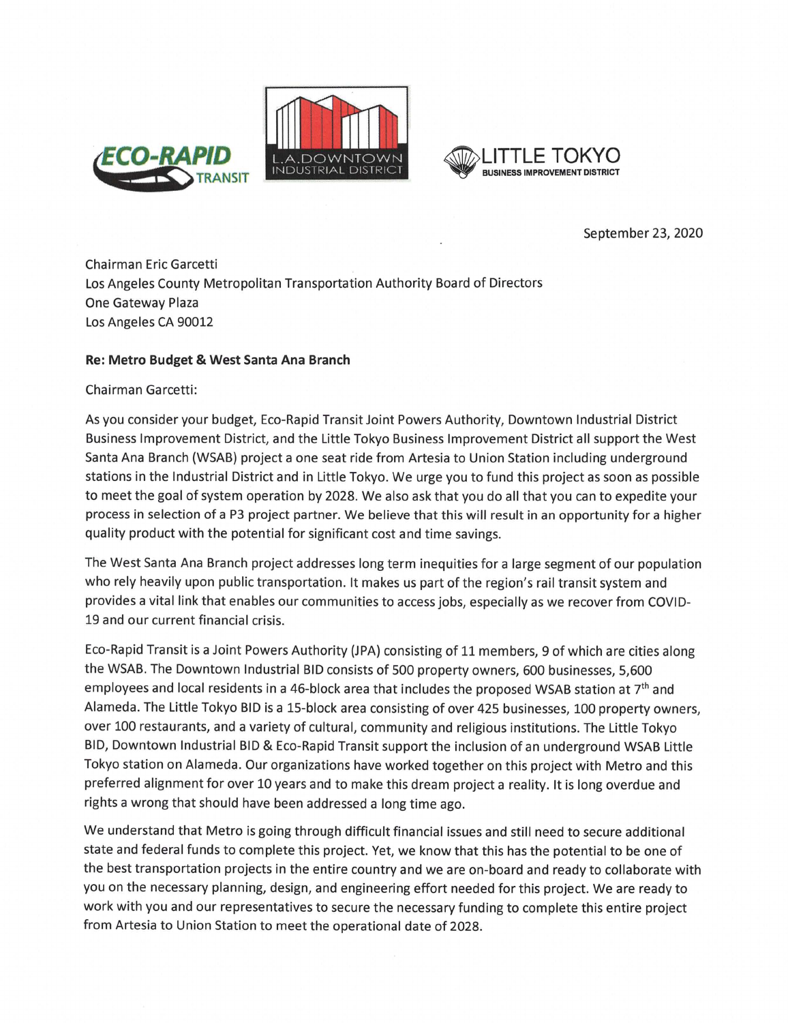



September 23, 2020

**Chairman Eric Garcetti** Los Angeles County Metropolitan Transportation Authority Board of Directors One Gateway Plaza Los Angeles CA 90012

### Re: Metro Budget & West Santa Ana Branch

Chairman Garcetti:

As you consider your budget, Eco-Rapid Transit Joint Powers Authority, Downtown Industrial District Business Improvement District, and the Little Tokyo Business Improvement District all support the West Santa Ana Branch (WSAB) project a one seat ride from Artesia to Union Station including underground stations in the Industrial District and in Little Tokyo. We urge you to fund this project as soon as possible to meet the goal of system operation by 2028. We also ask that you do all that you can to expedite your process in selection of a P3 project partner. We believe that this will result in an opportunity for a higher quality product with the potential for significant cost and time savings.

The West Santa Ana Branch project addresses long term inequities for a large segment of our population who rely heavily upon public transportation. It makes us part of the region's rail transit system and provides a vital link that enables our communities to access jobs, especially as we recover from COVID-19 and our current financial crisis.

Eco-Rapid Transit is a Joint Powers Authority (JPA) consisting of 11 members, 9 of which are cities along the WSAB. The Downtown Industrial BID consists of 500 property owners, 600 businesses, 5,600 employees and local residents in a 46-block area that includes the proposed WSAB station at 7<sup>th</sup> and Alameda. The Little Tokyo BID is a 15-block area consisting of over 425 businesses, 100 property owners, over 100 restaurants, and a variety of cultural, community and religious institutions. The Little Tokyo BID, Downtown Industrial BID & Eco-Rapid Transit support the inclusion of an underground WSAB Little Tokyo station on Alameda. Our organizations have worked together on this project with Metro and this preferred alignment for over 10 years and to make this dream project a reality. It is long overdue and rights a wrong that should have been addressed a long time ago.

We understand that Metro is going through difficult financial issues and still need to secure additional state and federal funds to complete this project. Yet, we know that this has the potential to be one of the best transportation projects in the entire country and we are on-board and ready to collaborate with you on the necessary planning, design, and engineering effort needed for this project. We are ready to work with you and our representatives to secure the necessary funding to complete this entire project from Artesia to Union Station to meet the operational date of 2028.